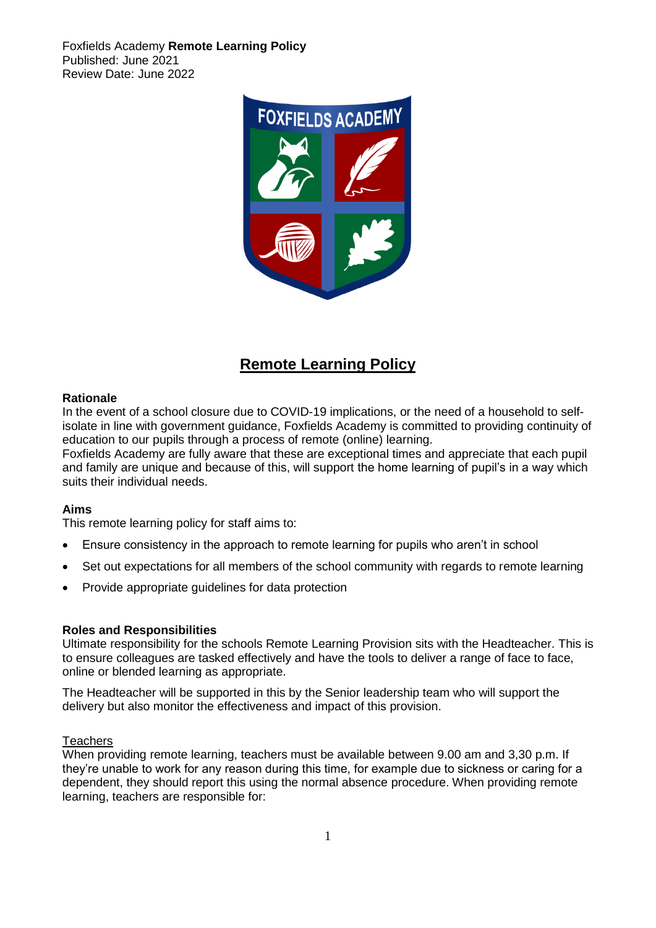Foxfields Academy **Remote Learning Policy**  Published: June 2021 Review Date: June 2022



# **Remote Learning Policy**

## **Rationale**

In the event of a school closure due to COVID-19 implications, or the need of a household to selfisolate in line with government guidance, Foxfields Academy is committed to providing continuity of education to our pupils through a process of remote (online) learning.

Foxfields Academy are fully aware that these are exceptional times and appreciate that each pupil and family are unique and because of this, will support the home learning of pupil's in a way which suits their individual needs.

## **Aims**

This remote learning policy for staff aims to:

- Ensure consistency in the approach to remote learning for pupils who aren't in school
- Set out expectations for all members of the school community with regards to remote learning
- Provide appropriate guidelines for data protection

## **Roles and Responsibilities**

Ultimate responsibility for the schools Remote Learning Provision sits with the Headteacher. This is to ensure colleagues are tasked effectively and have the tools to deliver a range of face to face, online or blended learning as appropriate.

The Headteacher will be supported in this by the Senior leadership team who will support the delivery but also monitor the effectiveness and impact of this provision.

## **Teachers**

When providing remote learning, teachers must be available between 9.00 am and 3,30 p.m. If they're unable to work for any reason during this time, for example due to sickness or caring for a dependent, they should report this using the normal absence procedure. When providing remote learning, teachers are responsible for: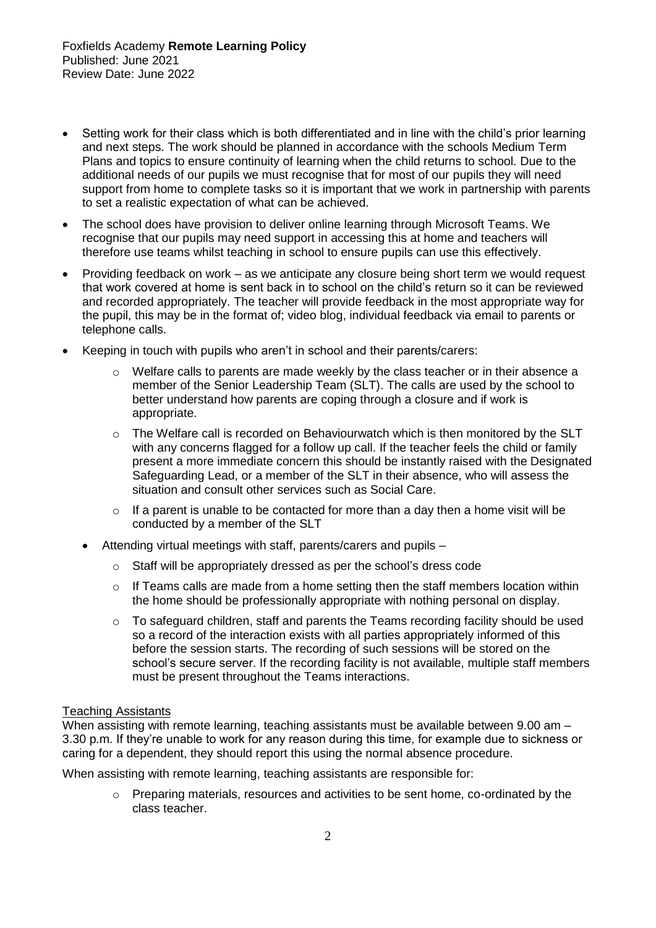- Setting work for their class which is both differentiated and in line with the child's prior learning and next steps. The work should be planned in accordance with the schools Medium Term Plans and topics to ensure continuity of learning when the child returns to school. Due to the additional needs of our pupils we must recognise that for most of our pupils they will need support from home to complete tasks so it is important that we work in partnership with parents to set a realistic expectation of what can be achieved.
- The school does have provision to deliver online learning through Microsoft Teams. We recognise that our pupils may need support in accessing this at home and teachers will therefore use teams whilst teaching in school to ensure pupils can use this effectively.
- Providing feedback on work as we anticipate any closure being short term we would request that work covered at home is sent back in to school on the child's return so it can be reviewed and recorded appropriately. The teacher will provide feedback in the most appropriate way for the pupil, this may be in the format of; video blog, individual feedback via email to parents or telephone calls.
- Keeping in touch with pupils who aren't in school and their parents/carers:
	- $\circ$  Welfare calls to parents are made weekly by the class teacher or in their absence a member of the Senior Leadership Team (SLT). The calls are used by the school to better understand how parents are coping through a closure and if work is appropriate.
	- $\circ$  The Welfare call is recorded on Behaviourwatch which is then monitored by the SLT with any concerns flagged for a follow up call. If the teacher feels the child or family present a more immediate concern this should be instantly raised with the Designated Safeguarding Lead, or a member of the SLT in their absence, who will assess the situation and consult other services such as Social Care.
	- $\circ$  If a parent is unable to be contacted for more than a day then a home visit will be conducted by a member of the SLT
	- Attending virtual meetings with staff, parents/carers and pupils
		- o Staff will be appropriately dressed as per the school's dress code
		- o If Teams calls are made from a home setting then the staff members location within the home should be professionally appropriate with nothing personal on display.
		- o To safeguard children, staff and parents the Teams recording facility should be used so a record of the interaction exists with all parties appropriately informed of this before the session starts. The recording of such sessions will be stored on the school's secure server. If the recording facility is not available, multiple staff members must be present throughout the Teams interactions.

# Teaching Assistants

When assisting with remote learning, teaching assistants must be available between 9.00 am -3.30 p.m. If they're unable to work for any reason during this time, for example due to sickness or caring for a dependent, they should report this using the normal absence procedure.

When assisting with remote learning, teaching assistants are responsible for:

 $\circ$  Preparing materials, resources and activities to be sent home, co-ordinated by the class teacher.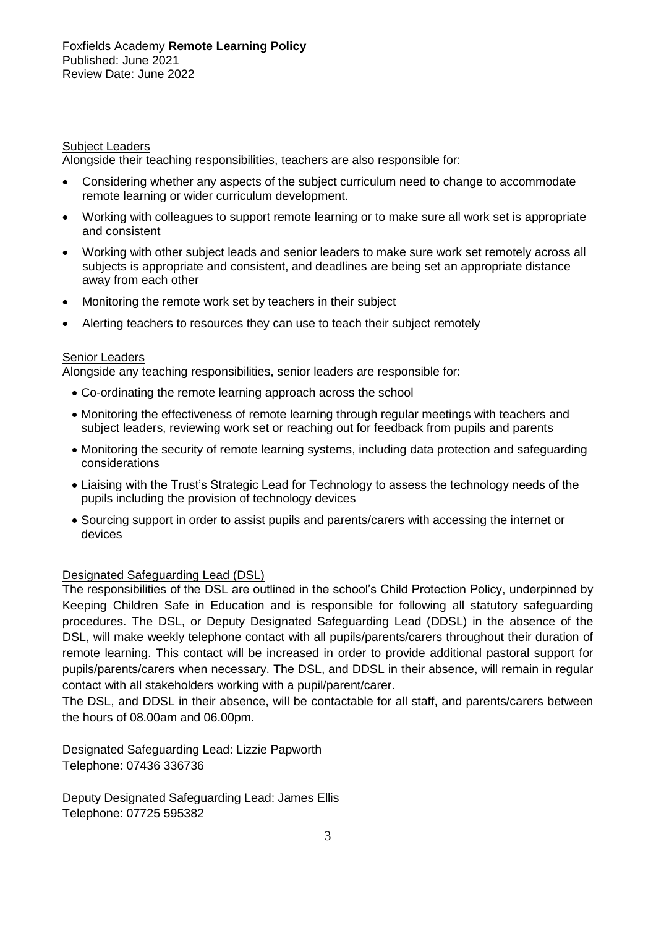## Subject Leaders

Alongside their teaching responsibilities, teachers are also responsible for:

- Considering whether any aspects of the subject curriculum need to change to accommodate remote learning or wider curriculum development.
- Working with colleagues to support remote learning or to make sure all work set is appropriate and consistent
- Working with other subject leads and senior leaders to make sure work set remotely across all subjects is appropriate and consistent, and deadlines are being set an appropriate distance away from each other
- Monitoring the remote work set by teachers in their subject
- Alerting teachers to resources they can use to teach their subject remotely

## Senior Leaders

Alongside any teaching responsibilities, senior leaders are responsible for:

- Co-ordinating the remote learning approach across the school
- Monitoring the effectiveness of remote learning through regular meetings with teachers and subject leaders, reviewing work set or reaching out for feedback from pupils and parents
- Monitoring the security of remote learning systems, including data protection and safeguarding considerations
- Liaising with the Trust's Strategic Lead for Technology to assess the technology needs of the pupils including the provision of technology devices
- Sourcing support in order to assist pupils and parents/carers with accessing the internet or devices

# Designated Safeguarding Lead (DSL)

The responsibilities of the DSL are outlined in the school's Child Protection Policy, underpinned by Keeping Children Safe in Education and is responsible for following all statutory safeguarding procedures. The DSL, or Deputy Designated Safeguarding Lead (DDSL) in the absence of the DSL, will make weekly telephone contact with all pupils/parents/carers throughout their duration of remote learning. This contact will be increased in order to provide additional pastoral support for pupils/parents/carers when necessary. The DSL, and DDSL in their absence, will remain in regular contact with all stakeholders working with a pupil/parent/carer.

The DSL, and DDSL in their absence, will be contactable for all staff, and parents/carers between the hours of 08.00am and 06.00pm.

Designated Safeguarding Lead: Lizzie Papworth Telephone: 07436 336736

Deputy Designated Safeguarding Lead: James Ellis Telephone: 07725 595382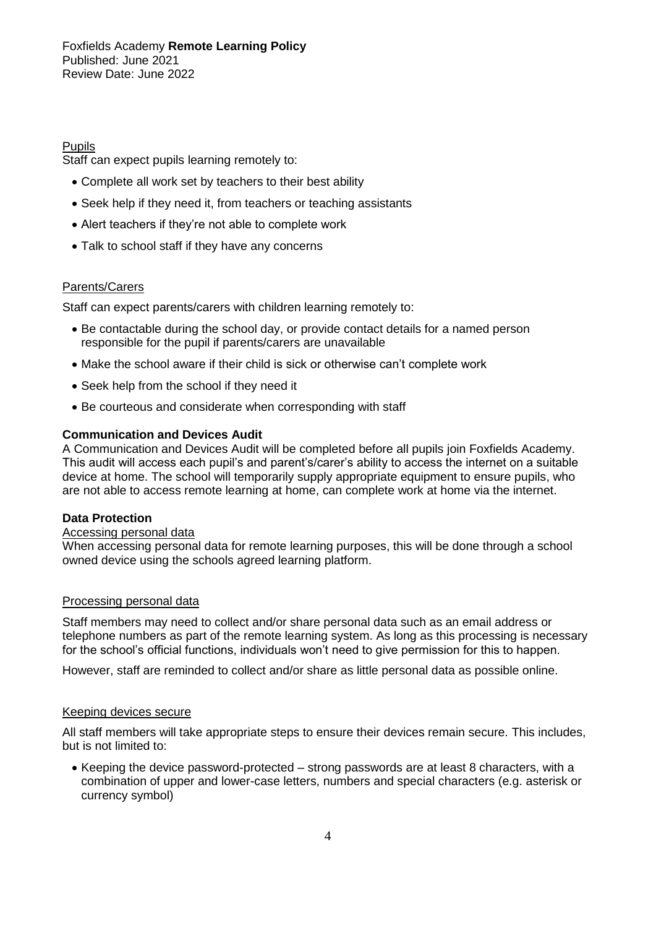Foxfields Academy **Remote Learning Policy**  Published: June 2021 Review Date: June 2022

## Pupils

Staff can expect pupils learning remotely to:

- Complete all work set by teachers to their best ability
- Seek help if they need it, from teachers or teaching assistants
- Alert teachers if they're not able to complete work
- Talk to school staff if they have any concerns

## Parents/Carers

Staff can expect parents/carers with children learning remotely to:

- Be contactable during the school day, or provide contact details for a named person responsible for the pupil if parents/carers are unavailable
- Make the school aware if their child is sick or otherwise can't complete work
- Seek help from the school if they need it
- Be courteous and considerate when corresponding with staff

## **Communication and Devices Audit**

A Communication and Devices Audit will be completed before all pupils join Foxfields Academy. This audit will access each pupil's and parent's/carer's ability to access the internet on a suitable device at home. The school will temporarily supply appropriate equipment to ensure pupils, who are not able to access remote learning at home, can complete work at home via the internet.

## **Data Protection**

# Accessing personal data

When accessing personal data for remote learning purposes, this will be done through a school owned device using the schools agreed learning platform.

## Processing personal data

Staff members may need to collect and/or share personal data such as an email address or telephone numbers as part of the remote learning system. As long as this processing is necessary for the school's official functions, individuals won't need to give permission for this to happen.

However, staff are reminded to collect and/or share as little personal data as possible online.

## Keeping devices secure

All staff members will take appropriate steps to ensure their devices remain secure. This includes, but is not limited to:

• Keeping the device password-protected – strong passwords are at least 8 characters, with a combination of upper and lower-case letters, numbers and special characters (e.g. asterisk or currency symbol)